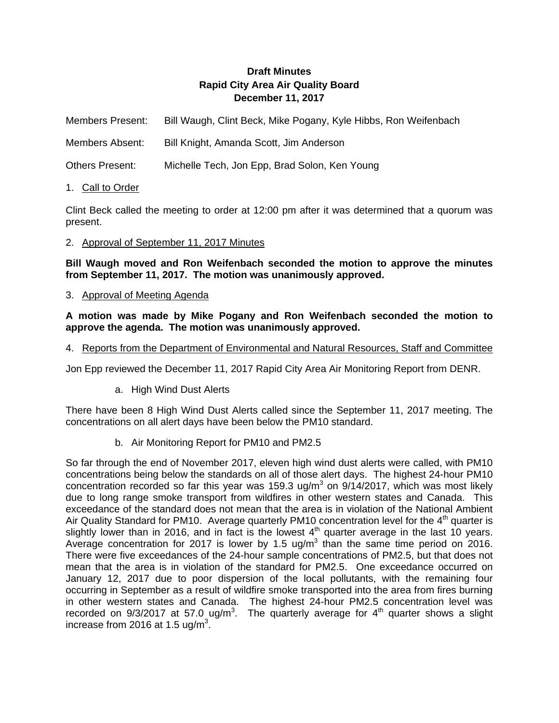## **Draft Minutes Rapid City Area Air Quality Board December 11, 2017**

Members Present: Bill Waugh, Clint Beck, Mike Pogany, Kyle Hibbs, Ron Weifenbach

Members Absent: Bill Knight, Amanda Scott, Jim Anderson

Others Present: Michelle Tech, Jon Epp, Brad Solon, Ken Young

1. Call to Order

Clint Beck called the meeting to order at 12:00 pm after it was determined that a quorum was present.

## 2. Approval of September 11, 2017 Minutes

**Bill Waugh moved and Ron Weifenbach seconded the motion to approve the minutes from September 11, 2017. The motion was unanimously approved.** 

3. Approval of Meeting Agenda

**A motion was made by Mike Pogany and Ron Weifenbach seconded the motion to approve the agenda. The motion was unanimously approved.** 

4. Reports from the Department of Environmental and Natural Resources, Staff and Committee

Jon Epp reviewed the December 11, 2017 Rapid City Area Air Monitoring Report from DENR.

a. High Wind Dust Alerts

There have been 8 High Wind Dust Alerts called since the September 11, 2017 meeting. The concentrations on all alert days have been below the PM10 standard.

b. Air Monitoring Report for PM10 and PM2.5

So far through the end of November 2017, eleven high wind dust alerts were called, with PM10 concentrations being below the standards on all of those alert days. The highest 24-hour PM10 concentration recorded so far this year was 159.3 ug/m<sup>3</sup> on  $9/14/2017$ , which was most likely due to long range smoke transport from wildfires in other western states and Canada. This exceedance of the standard does not mean that the area is in violation of the National Ambient Air Quality Standard for PM10. Average quarterly PM10 concentration level for the  $4<sup>th</sup>$  quarter is slightly lower than in 2016, and in fact is the lowest  $4<sup>th</sup>$  quarter average in the last 10 years. Average concentration for 2017 is lower by 1.5 ug/m<sup>3</sup> than the same time period on 2016. There were five exceedances of the 24-hour sample concentrations of PM2.5, but that does not mean that the area is in violation of the standard for PM2.5. One exceedance occurred on January 12, 2017 due to poor dispersion of the local pollutants, with the remaining four occurring in September as a result of wildfire smoke transported into the area from fires burning in other western states and Canada. The highest 24-hour PM2.5 concentration level was recorded on  $9/3/2017$  at 57.0 ug/m<sup>3</sup>. The quarterly average for  $4<sup>th</sup>$  quarter shows a slight increase from 2016 at 1.5 ug/m<sup>3</sup>.